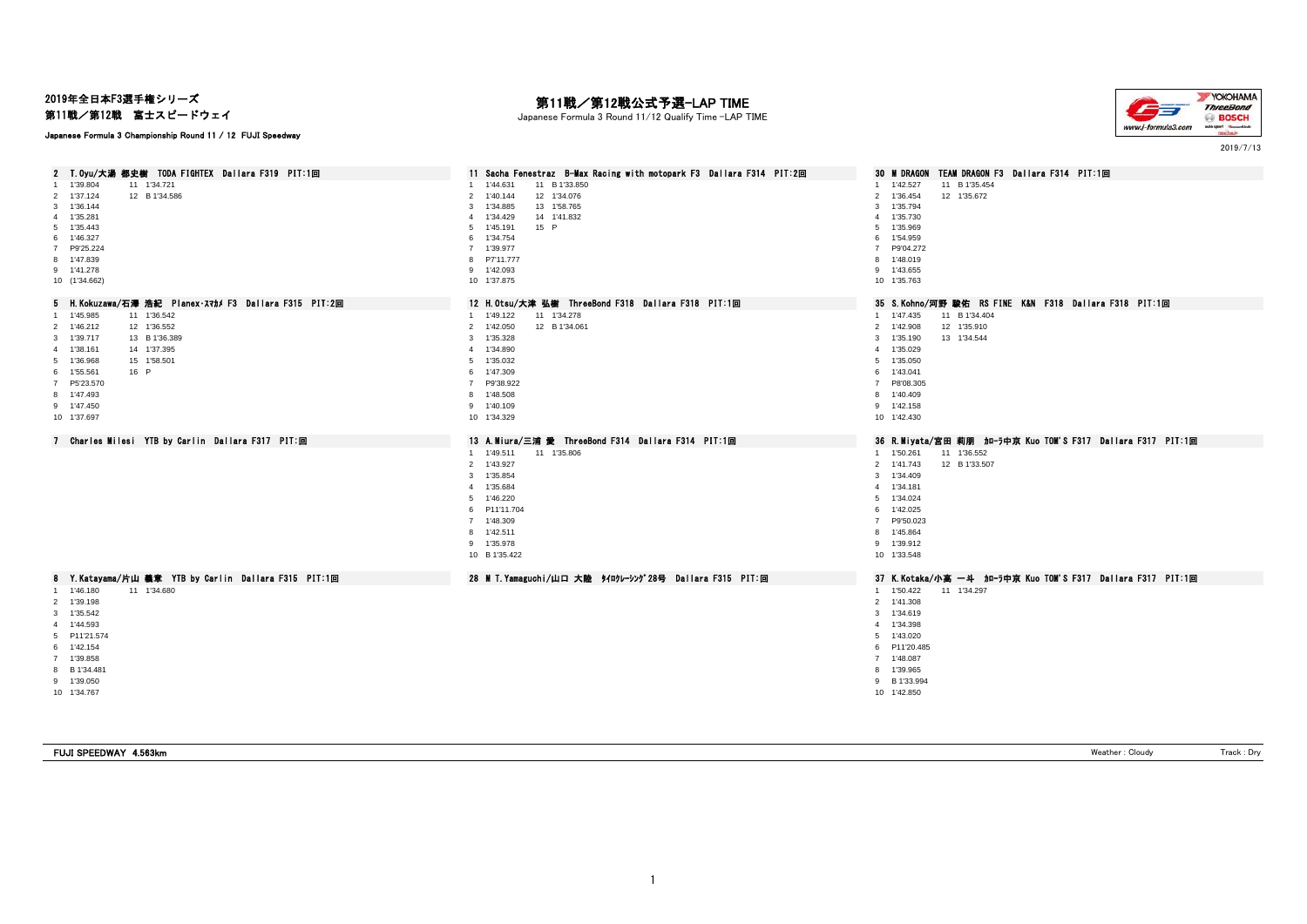## 2019年全日本F3選手権シリーズ

第11戦/第12戦 富士スピードウェイ

### Japanese Formula 3 Championship Round 11 / 12 FUJI Speedway

# 第11戦/第12戦公式予選-LAP TIME

Japanese Formula 3 Round 11/12 Qualify Time -LAP TIME



2019/7/13

| T.Oyu/大湯 都史樹 TODA FIGHTEX Dallara F319 PIT:1回<br>2     | 11 Sacha Fenestraz B-Max Racing with motopark F3 Dallara F314 PIT:2回 | 30 M DRAGON TEAM DRAGON F3 Dallara F314 PIT:1回                |
|--------------------------------------------------------|----------------------------------------------------------------------|---------------------------------------------------------------|
| 1 1'39.804<br>11 1'34.721                              | 1'44.631<br>11 B 1'33.850                                            | 1 1'42.527<br>11 B 1'35.454                                   |
| 12 B 1'34.586<br>2 1'37.124                            | 12 1'34.076<br>1'40.144<br>$\mathcal{P}$                             | 2 1'36.454<br>12 1'35.672                                     |
| 3 1'36.144                                             | 1'34.885<br>13 1'58.765<br>3                                         | 3 1'35.794                                                    |
| 4 1'35.281                                             | 1'34.429<br>14 1'41.832<br>4                                         | 1'35.730<br>$\overline{4}$                                    |
| 5 1'35.443                                             | 5 1'45.191<br>15 P                                                   | 5 1'35.969                                                    |
| 6 1'46.327                                             | 6 1'34.754                                                           | 6 1'54.959                                                    |
| 7 P9'25.224                                            | 7 1'39.977                                                           | 7 P9'04.272                                                   |
| 8 1'47.839                                             | 8 P7'11.777                                                          | 8 1'48.019                                                    |
| 9 1'41.278                                             | 9 1'42.093                                                           | 9 1'43.655                                                    |
| 10 (1'34.662)                                          | 10 1'37.875                                                          | 10 1'35.763                                                   |
| 5 H. Kokuzawa/石澤 浩紀 Planex·スマカメ F3 Dallara F315 PIT:2回 | 12 H. Otsu/大津 弘樹 ThreeBond F318 Dallara F318 PIT:1回                  | 35 S.Kohno/河野 駿佑 RS FINE K&N F318 Dallara F318 PIT:1回         |
| 1 1'45.985<br>11 1'36.542                              | 11 1'34.278<br>1 1'49.122                                            | 1 1'47.435<br>11 B 1'34.404                                   |
| 12 1'36.552<br>2 1'46.212                              | 2 1'42.050<br>12 B 1'34.061                                          | 2 1'42.908<br>12 1'35.910                                     |
| 3 1'39.717<br>13 B 1'36.389                            | 3 1'35.328                                                           | 13 1'34.544<br>1'35.190<br>3                                  |
| 4 1'38.161<br>14 1'37.395                              | 4 1'34.890                                                           | 1'35.029<br>4                                                 |
| 5 1'36.968<br>15 1'58.501                              | 5 1'35.032                                                           | 1'35.050<br>5                                                 |
| 6 1'55.561<br>16 P                                     | 6 1'47.309                                                           | 6 1'43.041                                                    |
| 7 P5'23.570                                            | P9'38.922                                                            | 7 P8'08.305                                                   |
| 8 1'47.493                                             | 8 1'48.508                                                           | 8 1'40.409                                                    |
| 9 1'47.450                                             | 9 1'40.109                                                           | 9 1'42.158                                                    |
| 10 1'37.697                                            | 10 1'34.329                                                          | 10 1'42.430                                                   |
|                                                        |                                                                      |                                                               |
| 7 Charles Milesi YTB by Carlin Dallara F317 PIT:回      | 13 A.Miura/三浦 愛 ThreeBond F314 Dallara F314 PIT:1回                   | 36 R.Miyata/宮田 莉朋  加-ラ中京 Kuo TOM'S F317  Dallara F317  PIT:1回 |
|                                                        |                                                                      |                                                               |
|                                                        | 11 1'35.806<br>1 1'49.511                                            | 11 1'36.552<br>1 1'50.261                                     |
|                                                        | 2 1'43.927                                                           | 2 1'41.743<br>12 B 1'33.507                                   |
|                                                        | 3 1'35.854                                                           | 1'34.409<br>$\mathbf{3}$                                      |
|                                                        | 4 1'35.684                                                           | 1'34.181<br>$\overline{4}$                                    |
|                                                        | 5 1'46.220                                                           | 5 1'34.024                                                    |
|                                                        | 6 P11'11.704                                                         | 6 1'42.025                                                    |
|                                                        | 7 1'48.309                                                           | P9'50.023<br>$\overline{7}$                                   |
|                                                        | 8 1'42.511                                                           | 8 1'45.864                                                    |
|                                                        | 9 1'35.978                                                           | 9 1'39.912                                                    |
|                                                        | 10 B 1'35.422                                                        | 10 1'33.548                                                   |
| 8 Y. Katayama/片山 義章 YTB by Carlin Dallara F315 PIT:1回  | 28 M T. Yamaguchi/山口 大陸 タイロクレーシング28号 Dallara F315 PIT:回              | 37 K.Kotaka/小高 一斗 加一为中京 Kuo TOM'S F317 Dallara F317 PIT:1回    |
| 1 1'46.180<br>11 1'34.680                              |                                                                      | 1 1'50.422<br>11 1'34.297                                     |
| 2 1'39.198                                             |                                                                      | 2 1'41.308                                                    |
| 3 1'35.542                                             |                                                                      | 3 1'34.619                                                    |
| 4 1'44.593                                             |                                                                      | 1'34.398<br>4                                                 |
| 5 P11'21.574                                           |                                                                      | 5 1'43.020                                                    |
|                                                        |                                                                      |                                                               |
| 6 1'42.154                                             |                                                                      | 6 P11'20.485                                                  |
| 7 1'39.858                                             |                                                                      | 7 1'48.087                                                    |
| 8 B 1'34.481                                           |                                                                      | 8 1'39.965                                                    |
| 9 1'39.050<br>10 1'34.767                              |                                                                      | 9 B 1'33.994<br>10 1'42.850                                   |

FUJI SPEEDWAY 4.563km **Weather : Cloudy** Track : Dry